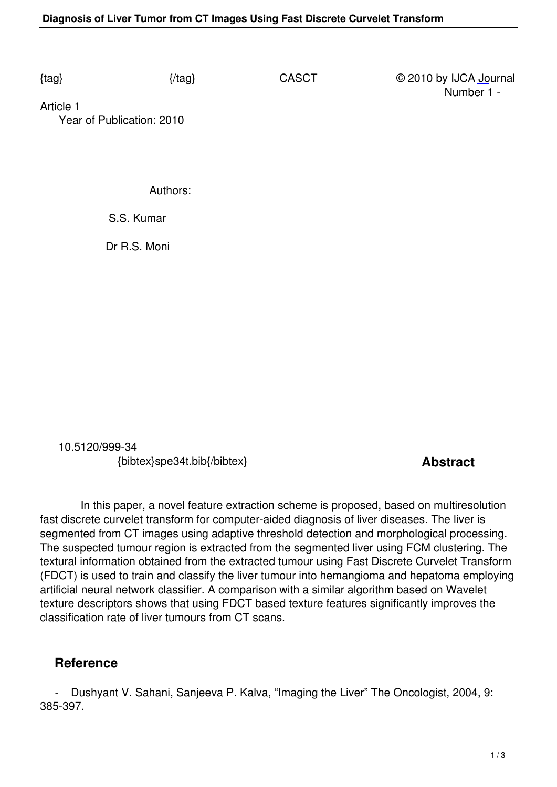Article 1  [Yea](/casct/number1/SPE34T.pdf)r of Publication: 2010

Authors:

S.S. Kumar

Dr R.S. Moni

 10.5120/999-34 {bibtex}spe34t.bib{/bibtex} **Abstract** 

 In this paper, a novel feature extraction scheme is proposed, based on multiresolution fast discrete curvelet transform for computer-aided diagnosis of liver diseases. The liver is segmented from CT images using adaptive threshold detection and morphological processing. The suspected tumour region is extracted from the segmented liver using FCM clustering. The textural information obtained from the extracted tumour using Fast Discrete Curvelet Transform (FDCT) is used to train and classify the liver tumour into hemangioma and hepatoma employing artificial neural network classifier. A comparison with a similar algorithm based on Wavelet texture descriptors shows that using FDCT based texture features significantly improves the classification rate of liver tumours from CT scans.

## **Reference**

 - Dushyant V. Sahani, Sanjeeva P. Kalva, "Imaging the Liver" The Oncologist, 2004, 9: 385-397.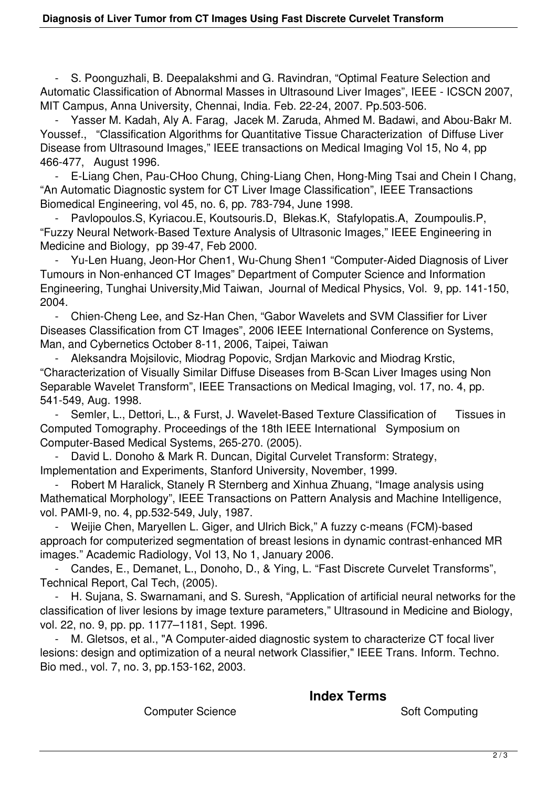- S. Poonguzhali, B. Deepalakshmi and G. Ravindran, "Optimal Feature Selection and Automatic Classification of Abnormal Masses in Ultrasound Liver Images", IEEE - ICSCN 2007, MIT Campus, Anna University, Chennai, India. Feb. 22-24, 2007. Pp.503-506.

 - Yasser M. Kadah, Aly A. Farag, Jacek M. Zaruda, Ahmed M. Badawi, and Abou-Bakr M. Youssef., "Classification Algorithms for Quantitative Tissue Characterization of Diffuse Liver Disease from Ultrasound Images," IEEE transactions on Medical Imaging Vol 15, No 4, pp 466-477, August 1996.

 - E-Liang Chen, Pau-CHoo Chung, Ching-Liang Chen, Hong-Ming Tsai and Chein I Chang, "An Automatic Diagnostic system for CT Liver Image Classification", IEEE Transactions Biomedical Engineering, vol 45, no. 6, pp. 783-794, June 1998.

 - Pavlopoulos.S, Kyriacou.E, Koutsouris.D, Blekas.K, Stafylopatis.A, Zoumpoulis.P, "Fuzzy Neural Network-Based Texture Analysis of Ultrasonic Images," IEEE Engineering in Medicine and Biology, pp 39-47, Feb 2000.

Yu-Len Huang, Jeon-Hor Chen1, Wu-Chung Shen1 "Computer-Aided Diagnosis of Liver Tumours in Non-enhanced CT Images" Department of Computer Science and Information Engineering, Tunghai University,Mid Taiwan, Journal of Medical Physics, Vol. 9, pp. 141-150, 2004.

 - Chien-Cheng Lee, and Sz-Han Chen, "Gabor Wavelets and SVM Classifier for Liver Diseases Classification from CT Images", 2006 IEEE International Conference on Systems, Man, and Cybernetics October 8-11, 2006, Taipei, Taiwan

 - Aleksandra Mojsilovic, Miodrag Popovic, Srdjan Markovic and Miodrag Krstic, "Characterization of Visually Similar Diffuse Diseases from B-Scan Liver Images using Non Separable Wavelet Transform", IEEE Transactions on Medical Imaging, vol. 17, no. 4, pp. 541-549, Aug. 1998.

Semler, L., Dettori, L., & Furst, J. Wavelet-Based Texture Classification of Tissues in Computed Tomography. Proceedings of the 18th IEEE International Symposium on Computer-Based Medical Systems, 265-270. (2005).

David L. Donoho & Mark R. Duncan, Digital Curvelet Transform: Strategy, Implementation and Experiments, Stanford University, November, 1999.

 - Robert M Haralick, Stanely R Sternberg and Xinhua Zhuang, "Image analysis using Mathematical Morphology", IEEE Transactions on Pattern Analysis and Machine Intelligence, vol. PAMI-9, no. 4, pp.532-549, July, 1987.

 - Weijie Chen, Maryellen L. Giger, and Ulrich Bick," A fuzzy c-means (FCM)-based approach for computerized segmentation of breast lesions in dynamic contrast-enhanced MR images." Academic Radiology, Vol 13, No 1, January 2006.

 - Candes, E., Demanet, L., Donoho, D., & Ying, L. "Fast Discrete Curvelet Transforms", Technical Report, Cal Tech, (2005).

 - H. Sujana, S. Swarnamani, and S. Suresh, "Application of artificial neural networks for the classification of liver lesions by image texture parameters," Ultrasound in Medicine and Biology, vol. 22, no. 9, pp. pp. 1177–1181, Sept. 1996.

 - M. Gletsos, et al., "A Computer-aided diagnostic system to characterize CT focal liver lesions: design and optimization of a neural network Classifier," IEEE Trans. Inform. Techno. Bio med., vol. 7, no. 3, pp.153-162, 2003.

## **Index Terms**

Computer Science Soft Computing